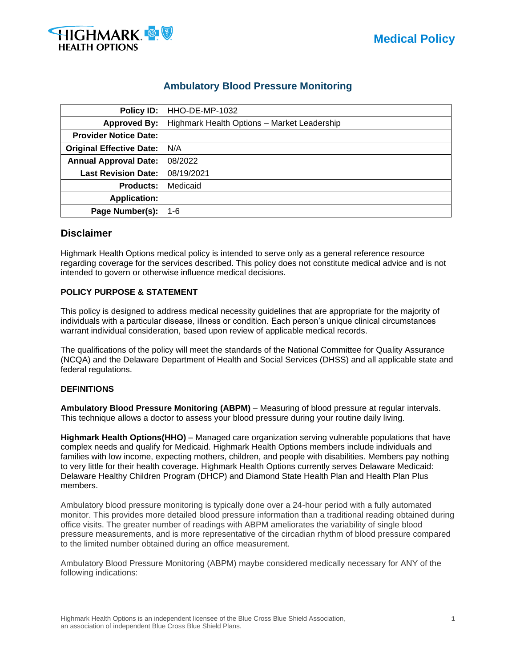

# **Ambulatory Blood Pressure Monitoring**

| Policy ID:                      | HHO-DE-MP-1032                              |  |  |
|---------------------------------|---------------------------------------------|--|--|
| <b>Approved By:</b>             | Highmark Health Options - Market Leadership |  |  |
| <b>Provider Notice Date:</b>    |                                             |  |  |
| <b>Original Effective Date:</b> | N/A                                         |  |  |
| <b>Annual Approval Date:</b>    | 08/2022                                     |  |  |
| <b>Last Revision Date:</b>      | 08/19/2021                                  |  |  |
| <b>Products:</b>                | Medicaid                                    |  |  |
| <b>Application:</b>             |                                             |  |  |
| Page Number(s):                 | 1-6                                         |  |  |

# **Disclaimer**

Highmark Health Options medical policy is intended to serve only as a general reference resource regarding coverage for the services described. This policy does not constitute medical advice and is not intended to govern or otherwise influence medical decisions.

### **POLICY PURPOSE & STATEMENT**

This policy is designed to address medical necessity guidelines that are appropriate for the majority of individuals with a particular disease, illness or condition. Each person's unique clinical circumstances warrant individual consideration, based upon review of applicable medical records.

The qualifications of the policy will meet the standards of the National Committee for Quality Assurance (NCQA) and the Delaware Department of Health and Social Services (DHSS) and all applicable state and federal regulations.

### **DEFINITIONS**

**Ambulatory Blood Pressure Monitoring (ABPM)** – Measuring of blood pressure at regular intervals. This technique allows a doctor to assess your blood pressure during your routine daily living.

**Highmark Health Options(HHO)** – Managed care organization serving vulnerable populations that have complex needs and qualify for Medicaid. Highmark Health Options members include individuals and families with low income, expecting mothers, children, and people with disabilities. Members pay nothing to very little for their health coverage. Highmark Health Options currently serves Delaware Medicaid: Delaware Healthy Children Program (DHCP) and Diamond State Health Plan and Health Plan Plus members.

Ambulatory blood pressure monitoring is typically done over a 24-hour period with a fully automated monitor. This provides more detailed blood pressure information than a traditional reading obtained during office visits. The greater number of readings with ABPM ameliorates the variability of single blood pressure measurements, and is more representative of the circadian rhythm of blood pressure compared to the limited number obtained during an office measurement.

Ambulatory Blood Pressure Monitoring (ABPM) maybe considered medically necessary for ANY of the following indications: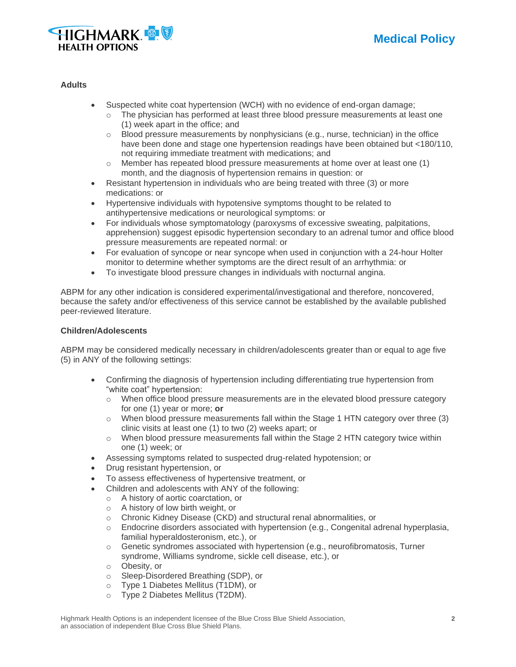



### **Adults**

- Suspected white coat hypertension (WCH) with no evidence of end-organ damage;
	- $\circ$  The physician has performed at least three blood pressure measurements at least one (1) week apart in the office; and
	- o Blood pressure measurements by nonphysicians (e.g., nurse, technician) in the office have been done and stage one hypertension readings have been obtained but <180/110, not requiring immediate treatment with medications; and
	- $\circ$  Member has repeated blood pressure measurements at home over at least one (1) month, and the diagnosis of hypertension remains in question: or
- Resistant hypertension in individuals who are being treated with three (3) or more medications: or
- Hypertensive individuals with hypotensive symptoms thought to be related to antihypertensive medications or neurological symptoms: or
- For individuals whose symptomatology (paroxysms of excessive sweating, palpitations, apprehension) suggest episodic hypertension secondary to an adrenal tumor and office blood pressure measurements are repeated normal: or
- For evaluation of syncope or near syncope when used in conjunction with a 24-hour Holter monitor to determine whether symptoms are the direct result of an arrhythmia: or
- To investigate blood pressure changes in individuals with nocturnal angina.

ABPM for any other indication is considered experimental/investigational and therefore, noncovered, because the safety and/or effectiveness of this service cannot be established by the available published peer-reviewed literature.

### **Children/Adolescents**

ABPM may be considered medically necessary in children/adolescents greater than or equal to age five (5) in ANY of the following settings:

- Confirming the diagnosis of hypertension including differentiating true hypertension from "white coat" hypertension:
	- $\circ$  When office blood pressure measurements are in the elevated blood pressure category for one (1) year or more; **or**
	- $\circ$  When blood pressure measurements fall within the Stage 1 HTN category over three (3) clinic visits at least one (1) to two (2) weeks apart; or
	- o When blood pressure measurements fall within the Stage 2 HTN category twice within one (1) week; or
- Assessing symptoms related to suspected drug-related hypotension; or
- Drug resistant hypertension, or
- To assess effectiveness of hypertensive treatment, or
- Children and adolescents with ANY of the following:
	- o A history of aortic coarctation, or
	- o A history of low birth weight, or
	- o Chronic Kidney Disease (CKD) and structural renal abnormalities, or
	- $\circ$  Endocrine disorders associated with hypertension (e.g., Congenital adrenal hyperplasia, familial hyperaldosteronism, etc.), or
	- $\circ$  Genetic syndromes associated with hypertension (e.g., neurofibromatosis, Turner syndrome, Williams syndrome, sickle cell disease, etc.), or
	- o Obesity, or
	- o Sleep-Disordered Breathing (SDP), or
	- o Type 1 Diabetes Mellitus (T1DM), or
	- Type 2 Diabetes Mellitus (T2DM).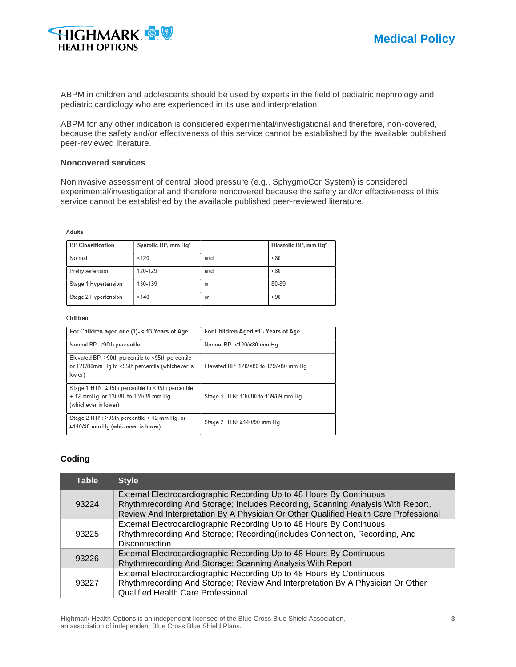

ABPM in children and adolescents should be used by experts in the field of pediatric nephrology and pediatric cardiology who are experienced in its use and interpretation.

ABPM for any other indication is considered experimental/investigational and therefore, non-covered, because the safety and/or effectiveness of this service cannot be established by the available published peer-reviewed literature.

### **Noncovered services**

Noninvasive assessment of central blood pressure (e.g., SphygmoCor System) is considered experimental/investigational and therefore noncovered because the safety and/or effectiveness of this service cannot be established by the available published peer-reviewed literature.

#### **Adults**

| <b>BP Classification</b> | Systolic BP, mm Hq* |     | Diastolic BP, mm Hq* |
|--------------------------|---------------------|-----|----------------------|
| Normal                   | < 120               | and | < 80                 |
| Prehypertension          | 120-129             | and | < 80                 |
| Stage 1 Hypertension     | 130-139             | or  | 80-89                |
| Stage 2 Hypertension     | >140                | or  | >90                  |

#### Children

| For Children aged one (1)- < 13 Years of Age                                                                          | For Children Aged ≥13 Years of Age    |
|-----------------------------------------------------------------------------------------------------------------------|---------------------------------------|
| Normal BP: <90th percentile                                                                                           | Normal BP: <120/<80 mm Hg             |
| Elevated BP: $\geq$ 90th percentile to <95th percentile<br>or 120/80mm Hg to <95th percentile (whichever is<br>lower) | Elevated BP: 120/<80 to 129/<80 mm Hg |
| Stage 1 HTN: ≥95th percentile to <95th percentile<br>+ 12 mmHg, or 130/80 to 139/89 mm Hg<br>(whichever is lower)     | Stage 1 HTN: 130/80 to 139/89 mm Hg   |
| Stage 2 HTN: ≥95th percentile + 12 mm Hg, or<br>≥140/90 mm Hg (whichever is lower)                                    | Stage 2 HTN: ≥140/90 mm Hg            |

### **Coding**

| <b>Table</b> | <b>Style</b>                                                                                                                                                                                                                                    |
|--------------|-------------------------------------------------------------------------------------------------------------------------------------------------------------------------------------------------------------------------------------------------|
| 93224        | External Electrocardiographic Recording Up to 48 Hours By Continuous<br>Rhythmrecording And Storage; Includes Recording, Scanning Analysis With Report,<br>Review And Interpretation By A Physician Or Other Qualified Health Care Professional |
| 93225        | External Electrocardiographic Recording Up to 48 Hours By Continuous<br>Rhythmrecording And Storage; Recording (includes Connection, Recording, And<br><b>Disconnection</b>                                                                     |
| 93226        | External Electrocardiographic Recording Up to 48 Hours By Continuous<br>Rhythmrecording And Storage; Scanning Analysis With Report                                                                                                              |
| 93227        | External Electrocardiographic Recording Up to 48 Hours By Continuous<br>Rhythmrecording And Storage; Review And Interpretation By A Physician Or Other<br>Qualified Health Care Professional                                                    |

Highmark Health Options is an independent licensee of the Blue Cross Blue Shield Association, **3** an association of independent Blue Cross Blue Shield Plans.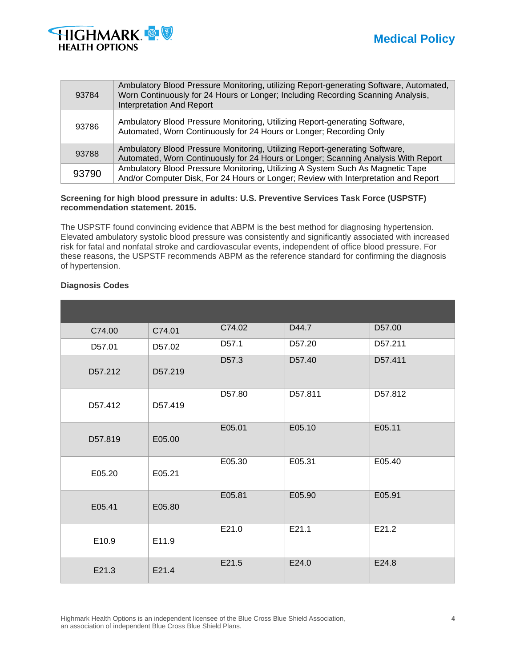

| 93784 | Ambulatory Blood Pressure Monitoring, utilizing Report-generating Software, Automated,<br>Worn Continuously for 24 Hours or Longer; Including Recording Scanning Analysis,<br><b>Interpretation And Report</b> |
|-------|----------------------------------------------------------------------------------------------------------------------------------------------------------------------------------------------------------------|
| 93786 | Ambulatory Blood Pressure Monitoring, Utilizing Report-generating Software,<br>Automated, Worn Continuously for 24 Hours or Longer; Recording Only                                                             |
| 93788 | Ambulatory Blood Pressure Monitoring, Utilizing Report-generating Software,<br>Automated, Worn Continuously for 24 Hours or Longer; Scanning Analysis With Report                                              |
| 93790 | Ambulatory Blood Pressure Monitoring, Utilizing A System Such As Magnetic Tape<br>And/or Computer Disk, For 24 Hours or Longer; Review with Interpretation and Report                                          |

### **Screening for high blood pressure in adults: U.S. Preventive Services Task Force (USPSTF) recommendation statement. 2015.**

The USPSTF found convincing evidence that ABPM is the best method for diagnosing hypertension. Elevated ambulatory systolic blood pressure was consistently and significantly associated with increased risk for fatal and nonfatal stroke and cardiovascular events, independent of office blood pressure. For these reasons, the USPSTF recommends ABPM as the reference standard for confirming the diagnosis of hypertension.

| C74.00  | C74.01  | C74.02            | D44.7   | D57.00  |
|---------|---------|-------------------|---------|---------|
| D57.01  | D57.02  | D <sub>57.1</sub> | D57.20  | D57.211 |
| D57.212 | D57.219 | D57.3             | D57.40  | D57.411 |
| D57.412 | D57.419 | D57.80            | D57.811 | D57.812 |
| D57.819 | E05.00  | E05.01            | E05.10  | E05.11  |
| E05.20  | E05.21  | E05.30            | E05.31  | E05.40  |
| E05.41  | E05.80  | E05.81            | E05.90  | E05.91  |
| E10.9   | E11.9   | E21.0             | E21.1   | E21.2   |
| E21.3   | E21.4   | E21.5             | E24.0   | E24.8   |

### **Diagnosis Codes**

Highmark Health Options is an independent licensee of the Blue Cross Blue Shield Association, **4** an association of independent Blue Cross Blue Shield Plans.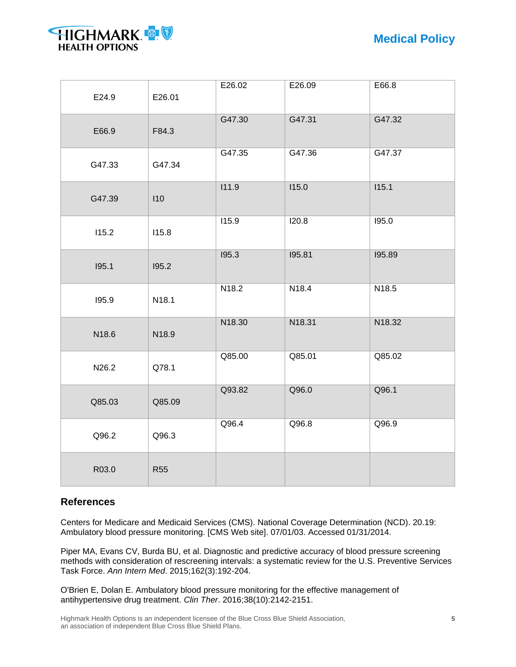



| E24.9  | E26.01     | E26.02 | E26.09 | E66.8  |
|--------|------------|--------|--------|--------|
| E66.9  | F84.3      | G47.30 | G47.31 | G47.32 |
| G47.33 | G47.34     | G47.35 | G47.36 | G47.37 |
| G47.39 | 110        | 111.9  | 115.0  | 115.1  |
| 115.2  | 115.8      | 115.9  | I20.8  | 195.0  |
| 195.1  | 195.2      | 195.3  | 195.81 | 195.89 |
| 195.9  | N18.1      | N18.2  | N18.4  | N18.5  |
| N18.6  | N18.9      | N18.30 | N18.31 | N18.32 |
| N26.2  | Q78.1      | Q85.00 | Q85.01 | Q85.02 |
| Q85.03 | Q85.09     | Q93.82 | Q96.0  | Q96.1  |
| Q96.2  | Q96.3      | Q96.4  | Q96.8  | Q96.9  |
| R03.0  | <b>R55</b> |        |        |        |

# **References**

Centers for Medicare and Medicaid Services (CMS). National Coverage Determination (NCD). 20.19: Ambulatory blood pressure monitoring. [CMS Web site]. 07/01/03. Accessed 01/31/2014.

Piper MA, Evans CV, Burda BU, et al. Diagnostic and predictive accuracy of blood pressure screening methods with consideration of rescreening intervals: a systematic review for the U.S. Preventive Services Task Force. *Ann Intern Med*. 2015;162(3):192-204.

O'Brien E, Dolan E. Ambulatory blood pressure monitoring for the effective management of antihypertensive drug treatment. *Clin Ther*. 2016;38(10):2142-2151.